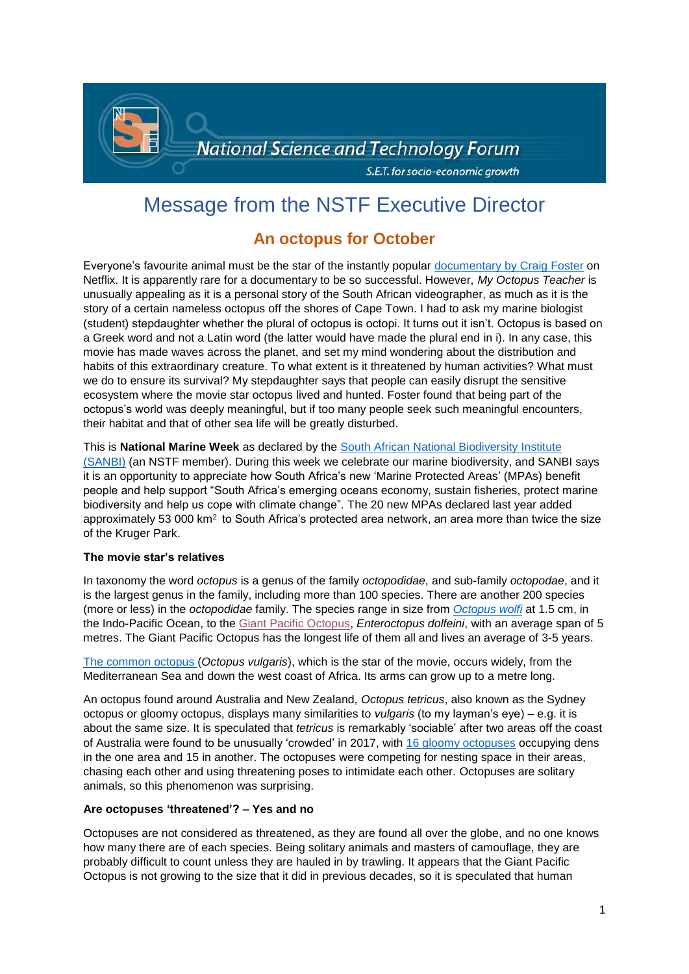

# Message from the NSTF Executive Director

# **An octopus for October**

Everyone's favourite animal must be the star of the instantly popular [documentary by Craig](https://en.wikipedia.org/wiki/My_Octopus_Teacher) Foster on Netflix. It is apparently rare for a documentary to be so successful. However, *My Octopus Teacher* is unusually appealing as it is a personal story of the South African videographer, as much as it is the story of a certain nameless octopus off the shores of Cape Town. I had to ask my marine biologist (student) stepdaughter whether the plural of octopus is octopi. It turns out it isn't. Octopus is based on a Greek word and not a Latin word (the latter would have made the plural end in i). In any case, this movie has made waves across the planet, and set my mind wondering about the distribution and habits of this extraordinary creature. To what extent is it threatened by human activities? What must we do to ensure its survival? My stepdaughter says that people can easily disrupt the sensitive ecosystem where the movie star octopus lived and hunted. Foster found that being part of the octopus's world was deeply meaningful, but if too many people seek such meaningful encounters, their habitat and that of other sea life will be greatly disturbed.

#### This is **National Marine Week** as declared by the [South African National Biodiversity Institute](https://www.sanbi.org/uncategorized/tenfold-increase-in-marine-protected-areas-supports-south-africas-sustainable-oceans-economy/)

[\(SANBI\)](https://www.sanbi.org/uncategorized/tenfold-increase-in-marine-protected-areas-supports-south-africas-sustainable-oceans-economy/) (an NSTF member). During this week we celebrate our marine biodiversity, and SANBI says it is an opportunity to appreciate how South Africa's new 'Marine Protected Areas' (MPAs) benefit people and help support "South Africa's emerging oceans economy, sustain fisheries, protect marine biodiversity and help us cope with climate change". The 20 new MPAs declared last year added approximately 53 000 km<sup>2</sup> to South Africa's protected area network, an area more than twice the size of the Kruger Park.

# **The movie star's relatives**

In taxonomy the word *octopus* is a genus of the family *octopodidae*, and sub-family *octopodae*, and it is the largest genus in the family, including more than 100 species. There are another 200 species (more or less) in the *octopodidae* family. The species range in size from *[Octopus wolfi](https://everythingoctopus.blogspot.com/2009/01/species-octopus-wolfi-worlds-smallest.html)* at 1.5 cm, in the Indo-Pacific Ocean, to the [Giant Pacific Octopus,](https://theliquidearth.org/2010/10/the-giant-pacific-octopus/) *Enteroctopus dolfeini*, with an average span of 5 metres. The Giant Pacific Octopus has the longest life of them all and lives an average of 3-5 years.

[The common octopus](https://en.wikipedia.org/wiki/Common_octopus) (*Octopus vulgaris*), which is the star of the movie, occurs widely, from the Mediterranean Sea and down the west coast of Africa. Its arms can grow up to a metre long.

An octopus found around Australia and New Zealand, *Octopus tetricus*, also known as the Sydney octopus or gloomy octopus, displays many similarities to *vulgaris* (to my layman's eye) – e.g. it is about the same size. It is speculated that *tetricus* is remarkably 'sociable' after two areas off the coast of Australia were found to be unusually 'crowded' in 2017, with [16 gloomy octopuses](https://www.sciencemag.org/news/2017/09/scientists-discover-underwater-city-full-gloomy-octopuses) occupying dens in the one area and 15 in another. The octopuses were competing for nesting space in their areas, chasing each other and using threatening poses to intimidate each other. Octopuses are solitary animals, so this phenomenon was surprising.

# **Are octopuses 'threatened'? – Yes and no**

Octopuses are not considered as threatened, as they are found all over the globe, and no one knows how many there are of each species. Being solitary animals and masters of camouflage, they are probably difficult to count unless they are hauled in by trawling. It appears that the Giant Pacific Octopus is not growing to the size that it did in previous decades, so it is speculated that human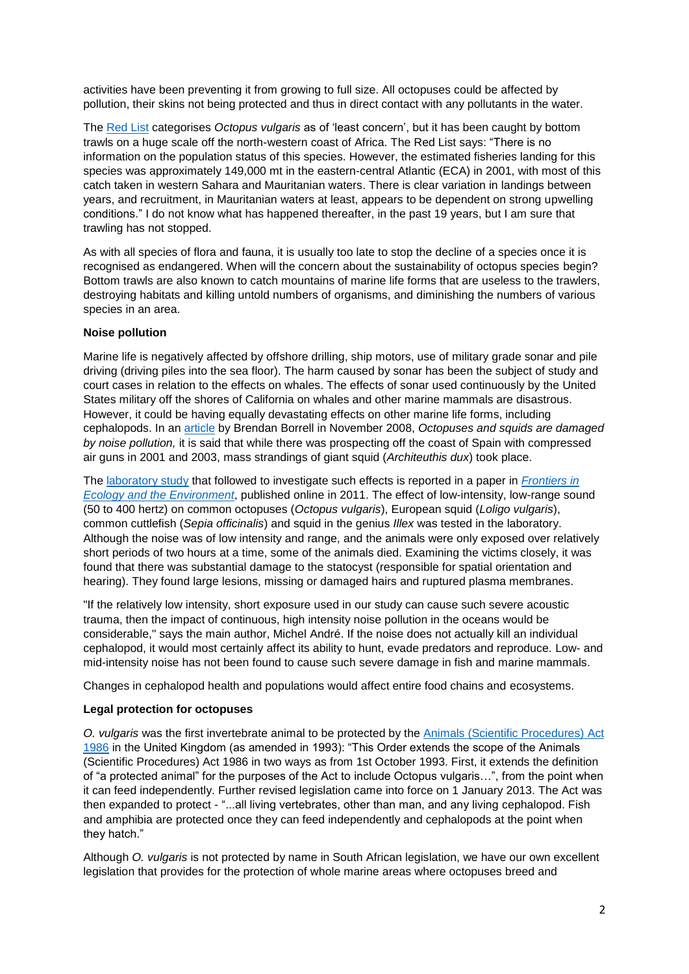activities have been preventing it from growing to full size. All octopuses could be affected by pollution, their skins not being protected and thus in direct contact with any pollutants in the water.

The [Red List](https://www.iucnredlist.org/species/162571/918906) categorises *Octopus vulgaris* as of 'least concern', but it has been caught by bottom trawls on a huge scale off the north-western coast of Africa. The Red List says: "There is no information on the population status of this species. However, the estimated fisheries landing for this species was approximately 149,000 mt in the eastern-central Atlantic (ECA) in 2001, with most of this catch taken in western Sahara and Mauritanian waters. There is clear variation in landings between years, and recruitment, in Mauritanian waters at least, appears to be dependent on strong upwelling conditions." I do not know what has happened thereafter, in the past 19 years, but I am sure that trawling has not stopped.

As with all species of flora and fauna, it is usually too late to stop the decline of a species once it is recognised as endangered. When will the concern about the sustainability of octopus species begin? Bottom trawls are also known to catch mountains of marine life forms that are useless to the trawlers, destroying habitats and killing untold numbers of organisms, and diminishing the numbers of various species in an area.

# **Noise pollution**

Marine life is negatively affected by offshore drilling, ship motors, use of military grade sonar and pile driving (driving piles into the sea floor). The harm caused by sonar has been the subject of study and court cases in relation to the effects on whales. The effects of sonar used continuously by the United States military off the shores of California on whales and other marine mammals are disastrous. However, it could be having equally devastating effects on other marine life forms, including cephalopods. In an [article](https://blogs.scientificamerican.com/observations/octopuses-and-squids-are-damaged-by-noise-pollution/) by Brendan Borrell in November 2008, *Octopuses and squids are damaged by noise pollution,* it is said that while there was prospecting off the coast of Spain with compressed air guns in 2001 and 2003, mass strandings of giant squid (*Architeuthis dux*) took place.

The [laboratory study](https://esajournals.onlinelibrary.wiley.com/doi/10.1890/100124) that followed to investigate such effects is reported in a paper in *[Frontiers in](http://www.frontiersinecology.org/)  [Ecology and the Environment](http://www.frontiersinecology.org/)*, published online in 2011. The effect of low-intensity, low-range sound (50 to 400 hertz) on common octopuses (*Octopus vulgaris*), European squid (*Loligo vulgaris*), common cuttlefish (*Sepia officinalis*) and squid in the genius *Illex* was tested in the laboratory. Although the noise was of low intensity and range, and the animals were only exposed over relatively short periods of two hours at a time, some of the animals died. Examining the victims closely, it was found that there was substantial damage to the statocyst (responsible for spatial orientation and hearing). They found large lesions, missing or damaged hairs and ruptured plasma membranes.

"If the relatively low intensity, short exposure used in our study can cause such severe acoustic trauma, then the impact of continuous, high intensity noise pollution in the oceans would be considerable," says the main author, Michel André. If the noise does not actually kill an individual cephalopod, it would most certainly affect its ability to hunt, evade predators and reproduce. Low- and mid-intensity noise has not been found to cause such severe damage in fish and marine mammals.

Changes in cephalopod health and populations would affect entire food chains and ecosystems.

# **Legal protection for octopuses**

*O. vulgaris* was the first invertebrate animal to be protected by the [Animals \(Scientific Procedures\) Act](https://en.wikipedia.org/wiki/Animals_(Scientific_Procedures)_Act_1986)  [1986](https://en.wikipedia.org/wiki/Animals_(Scientific_Procedures)_Act_1986) in the United Kingdom (as amended in 1993): "This Order extends the scope of the Animals (Scientific Procedures) Act 1986 in two ways as from 1st October 1993. First, it extends the definition of "a protected animal" for the purposes of the Act to include Octopus vulgaris…", from the point when it can feed independently. Further revised legislation came into force on 1 January 2013. The Act was then expanded to protect - "...all living vertebrates, other than man, and any living cephalopod. Fish and amphibia are protected once they can feed independently and cephalopods at the point when they hatch."

Although *O. vulgaris* is not protected by name in South African legislation, we have our own excellent legislation that provides for the protection of whole marine areas where octopuses breed and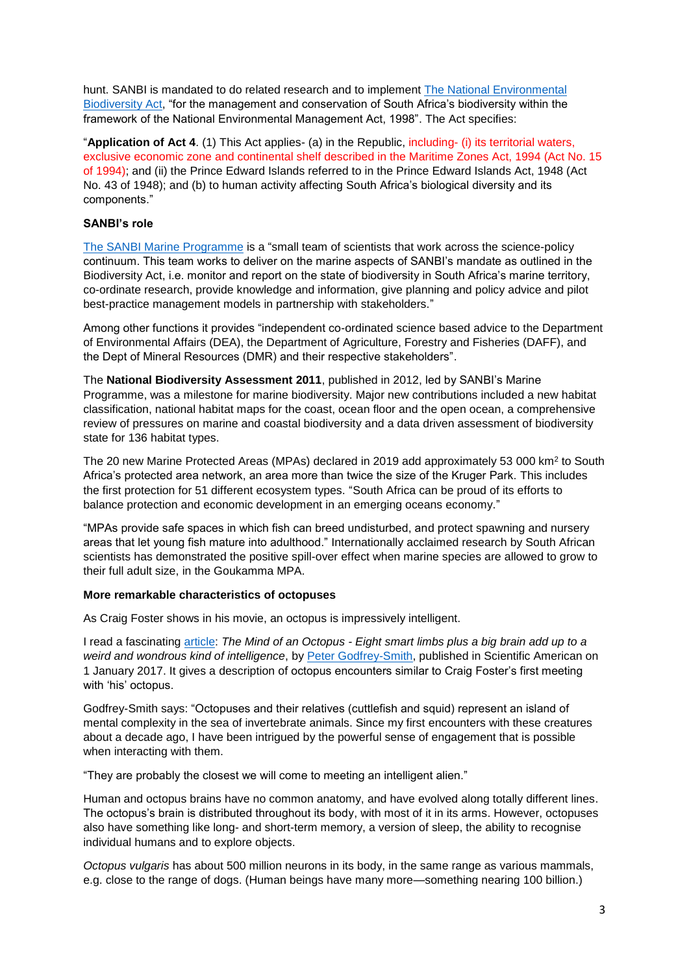hunt. SANBI is mandated to do related research and to implement [The National Environmental](https://www.sanbi.org/wp-content/uploads/2018/04/biodiversityact2004pdf.pdf)  [Biodiversity Act,](https://www.sanbi.org/wp-content/uploads/2018/04/biodiversityact2004pdf.pdf) "for the management and conservation of South Africa's biodiversity within the framework of the National Environmental Management Act, 1998". The Act specifies:

"**Application of Act 4**. (1) This Act applies- (a) in the Republic, including- (i) its territorial waters, exclusive economic zone and continental shelf described in the Maritime Zones Act, 1994 (Act No. 15 of 1994); and (ii) the Prince Edward Islands referred to in the Prince Edward Islands Act, 1948 (Act No. 43 of 1948); and (b) to human activity affecting South Africa's biological diversity and its components."

#### **SANBI's role**

[The SANBI Marine Programme](https://www.sanbi.org/biodiversity/building-knowledge/biodiversity-monitoring-assessment/sanbi-marine-programme/) is a "small team of scientists that work across the science-policy continuum. This team works to deliver on the marine aspects of SANBI's mandate as outlined in the Biodiversity Act, i.e. monitor and report on the state of biodiversity in South Africa's marine territory, co-ordinate research, provide knowledge and information, give planning and policy advice and pilot best-practice management models in partnership with stakeholders."

Among other functions it provides "independent co-ordinated science based advice to the Department of Environmental Affairs (DEA), the Department of Agriculture, Forestry and Fisheries (DAFF), and the Dept of Mineral Resources (DMR) and their respective stakeholders".

The **National Biodiversity Assessment 2011**, published in 2012, led by SANBI's Marine Programme, was a milestone for marine biodiversity. Major new contributions included a new habitat classification, national habitat maps for the coast, ocean floor and the open ocean, a comprehensive review of pressures on marine and coastal biodiversity and a data driven assessment of biodiversity state for 136 habitat types.

The 20 new Marine Protected Areas (MPAs) declared in 2019 add approximately 53 000 km<sup>2</sup> to South Africa's protected area network, an area more than twice the size of the Kruger Park. This includes the first protection for 51 different ecosystem types. "South Africa can be proud of its efforts to balance protection and economic development in an emerging oceans economy."

"MPAs provide safe spaces in which fish can breed undisturbed, and protect spawning and nursery areas that let young fish mature into adulthood." Internationally acclaimed research by South African scientists has demonstrated the positive spill-over effect when marine species are allowed to grow to their full adult size, in the Goukamma MPA.

# **More remarkable characteristics of octopuses**

As Craig Foster shows in his movie, an octopus is impressively intelligent.

I read a fascinating [article:](https://www.scientificamerican.com/article/the-mind-of-an-octopus/#:~:text=Octopuses%20have%20done%20fairly%20well%20on%20tests%20of,then%20take%20the%20best%20route%20toward%20some%20reward.) *The Mind of an Octopus - Eight smart limbs plus a big brain add up to a weird and wondrous kind of intelligence*, by [Peter Godfrey-Smith,](https://www.scientificamerican.com/author/peter-godfrey-smith/) published in Scientific American on 1 January 2017. It gives a description of octopus encounters similar to Craig Foster's first meeting with 'his' octopus.

Godfrey-Smith says: "Octopuses and their relatives (cuttlefish and squid) represent an island of mental complexity in the sea of invertebrate animals. Since my first encounters with these creatures about a decade ago, I have been intrigued by the powerful sense of engagement that is possible when interacting with them.

"They are probably the closest we will come to meeting an intelligent alien."

Human and octopus brains have no common anatomy, and have evolved along totally different lines. The octopus's brain is distributed throughout its body, with most of it in its arms. However, octopuses also have something like long- and short-term memory, a version of sleep, the ability to recognise individual humans and to explore objects.

*Octopus vulgaris* has about 500 million neurons in its body, in the same range as various mammals, e.g. close to the range of dogs. (Human beings have many more—something nearing 100 billion.)